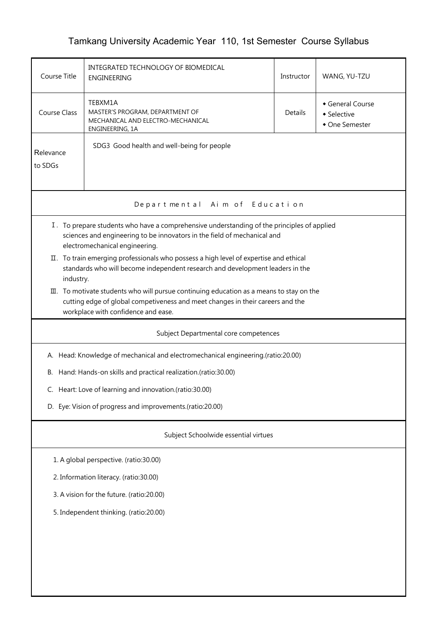## Tamkang University Academic Year 110, 1st Semester Course Syllabus

| Course Title                                                                                                                                                                                                                 | INTEGRATED TECHNOLOGY OF BIOMEDICAL<br>ENGINEERING                                                                                                                      | Instructor | WANG, YU-TZU |  |  |  |  |  |
|------------------------------------------------------------------------------------------------------------------------------------------------------------------------------------------------------------------------------|-------------------------------------------------------------------------------------------------------------------------------------------------------------------------|------------|--------------|--|--|--|--|--|
| <b>Course Class</b>                                                                                                                                                                                                          | TEBXM1A<br>General Course<br>MASTER'S PROGRAM, DEPARTMENT OF<br><b>Details</b><br>• Selective<br>MECHANICAL AND ELECTRO-MECHANICAL<br>• One Semester<br>ENGINEERING, 1A |            |              |  |  |  |  |  |
| SDG3 Good health and well-being for people<br>Relevance<br>to SDGs                                                                                                                                                           |                                                                                                                                                                         |            |              |  |  |  |  |  |
|                                                                                                                                                                                                                              | Departmental Aim of Education                                                                                                                                           |            |              |  |  |  |  |  |
| I. To prepare students who have a comprehensive understanding of the principles of applied<br>sciences and engineering to be innovators in the field of mechanical and<br>electromechanical engineering.                     |                                                                                                                                                                         |            |              |  |  |  |  |  |
| industry.                                                                                                                                                                                                                    | II. To train emerging professionals who possess a high level of expertise and ethical<br>standards who will become independent research and development leaders in the  |            |              |  |  |  |  |  |
| $\mathbb{II}$ . To motivate students who will pursue continuing education as a means to stay on the<br>cutting edge of global competiveness and meet changes in their careers and the<br>workplace with confidence and ease. |                                                                                                                                                                         |            |              |  |  |  |  |  |
|                                                                                                                                                                                                                              | Subject Departmental core competences                                                                                                                                   |            |              |  |  |  |  |  |
|                                                                                                                                                                                                                              | A. Head: Knowledge of mechanical and electromechanical engineering.(ratio:20.00)                                                                                        |            |              |  |  |  |  |  |
| В.                                                                                                                                                                                                                           | Hand: Hands-on skills and practical realization.(ratio:30.00)                                                                                                           |            |              |  |  |  |  |  |
|                                                                                                                                                                                                                              | C. Heart: Love of learning and innovation.(ratio:30.00)                                                                                                                 |            |              |  |  |  |  |  |
|                                                                                                                                                                                                                              | D. Eye: Vision of progress and improvements.(ratio:20.00)                                                                                                               |            |              |  |  |  |  |  |
|                                                                                                                                                                                                                              | Subject Schoolwide essential virtues                                                                                                                                    |            |              |  |  |  |  |  |
|                                                                                                                                                                                                                              | 1. A global perspective. (ratio:30.00)                                                                                                                                  |            |              |  |  |  |  |  |
| 2. Information literacy. (ratio:30.00)                                                                                                                                                                                       |                                                                                                                                                                         |            |              |  |  |  |  |  |
| 3. A vision for the future. (ratio:20.00)                                                                                                                                                                                    |                                                                                                                                                                         |            |              |  |  |  |  |  |
| 5. Independent thinking. (ratio:20.00)                                                                                                                                                                                       |                                                                                                                                                                         |            |              |  |  |  |  |  |
|                                                                                                                                                                                                                              |                                                                                                                                                                         |            |              |  |  |  |  |  |
|                                                                                                                                                                                                                              |                                                                                                                                                                         |            |              |  |  |  |  |  |
|                                                                                                                                                                                                                              |                                                                                                                                                                         |            |              |  |  |  |  |  |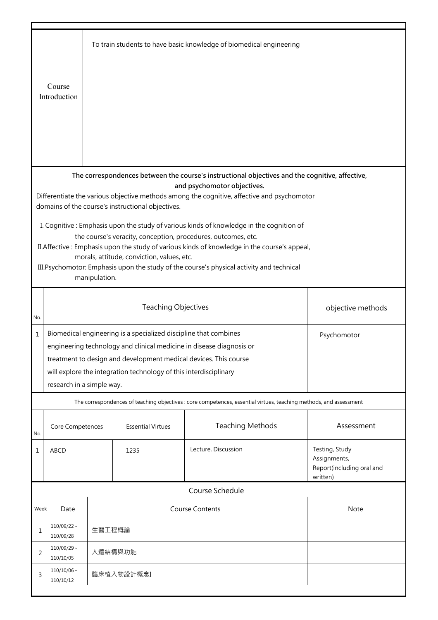|                                 |                              |               |                                                                   | To train students to have basic knowledge of biomedical engineering                                                            |                           |  |
|---------------------------------|------------------------------|---------------|-------------------------------------------------------------------|--------------------------------------------------------------------------------------------------------------------------------|---------------------------|--|
|                                 | Course                       |               |                                                                   |                                                                                                                                |                           |  |
|                                 | Introduction                 |               |                                                                   |                                                                                                                                |                           |  |
|                                 |                              |               |                                                                   |                                                                                                                                |                           |  |
|                                 |                              |               |                                                                   |                                                                                                                                |                           |  |
|                                 |                              |               |                                                                   |                                                                                                                                |                           |  |
|                                 |                              |               |                                                                   |                                                                                                                                |                           |  |
|                                 |                              |               |                                                                   |                                                                                                                                |                           |  |
|                                 |                              |               |                                                                   |                                                                                                                                |                           |  |
|                                 |                              |               |                                                                   | The correspondences between the course's instructional objectives and the cognitive, affective,<br>and psychomotor objectives. |                           |  |
|                                 |                              |               |                                                                   | Differentiate the various objective methods among the cognitive, affective and psychomotor                                     |                           |  |
|                                 |                              |               | domains of the course's instructional objectives.                 |                                                                                                                                |                           |  |
|                                 |                              |               |                                                                   |                                                                                                                                |                           |  |
|                                 |                              |               |                                                                   | I. Cognitive: Emphasis upon the study of various kinds of knowledge in the cognition of                                        |                           |  |
|                                 |                              |               |                                                                   | the course's veracity, conception, procedures, outcomes, etc.                                                                  |                           |  |
|                                 |                              |               |                                                                   | II. Affective: Emphasis upon the study of various kinds of knowledge in the course's appeal,                                   |                           |  |
|                                 |                              |               | morals, attitude, conviction, values, etc.                        |                                                                                                                                |                           |  |
|                                 |                              |               |                                                                   | III. Psychomotor: Emphasis upon the study of the course's physical activity and technical                                      |                           |  |
|                                 |                              | manipulation. |                                                                   |                                                                                                                                |                           |  |
|                                 |                              |               |                                                                   |                                                                                                                                |                           |  |
|                                 |                              |               | <b>Teaching Objectives</b>                                        |                                                                                                                                | objective methods         |  |
| No.                             |                              |               |                                                                   |                                                                                                                                |                           |  |
| $\mathbf 1$                     |                              |               | Biomedical engineering is a specialized discipline that combines  |                                                                                                                                | Psychomotor               |  |
|                                 |                              |               |                                                                   | engineering technology and clinical medicine in disease diagnosis or                                                           |                           |  |
|                                 |                              |               | treatment to design and development medical devices. This course  |                                                                                                                                |                           |  |
|                                 |                              |               |                                                                   |                                                                                                                                |                           |  |
|                                 |                              |               | will explore the integration technology of this interdisciplinary |                                                                                                                                |                           |  |
|                                 | research in a simple way.    |               |                                                                   |                                                                                                                                |                           |  |
|                                 |                              |               |                                                                   | The correspondences of teaching objectives : core competences, essential virtues, teaching methods, and assessment             |                           |  |
|                                 |                              |               |                                                                   |                                                                                                                                |                           |  |
|                                 | Core Competences             |               | <b>Essential Virtues</b>                                          | <b>Teaching Methods</b>                                                                                                        | Assessment                |  |
| No.                             |                              |               |                                                                   |                                                                                                                                |                           |  |
| 1                               | <b>ABCD</b>                  |               | 1235                                                              | Lecture, Discussion                                                                                                            | Testing, Study            |  |
|                                 |                              |               |                                                                   |                                                                                                                                | Assignments,              |  |
|                                 |                              |               |                                                                   |                                                                                                                                | Report(including oral and |  |
|                                 |                              |               |                                                                   |                                                                                                                                | written)                  |  |
|                                 |                              |               |                                                                   | Course Schedule                                                                                                                |                           |  |
| Week                            | Date                         |               |                                                                   | <b>Course Contents</b>                                                                                                         | Note                      |  |
|                                 |                              |               |                                                                   |                                                                                                                                |                           |  |
| $110/09/22 \sim$<br>生醫工程概論<br>1 |                              |               |                                                                   |                                                                                                                                |                           |  |
|                                 | 110/09/28                    |               |                                                                   |                                                                                                                                |                           |  |
| 2                               | $110/09/29 \sim$             | 人體結構與功能       |                                                                   |                                                                                                                                |                           |  |
|                                 | 110/10/05                    |               |                                                                   |                                                                                                                                |                           |  |
|                                 | $110/10/06 \sim$             |               |                                                                   |                                                                                                                                |                           |  |
|                                 | 臨床植入物設計概念I<br>3<br>110/10/12 |               |                                                                   |                                                                                                                                |                           |  |
|                                 |                              |               |                                                                   |                                                                                                                                |                           |  |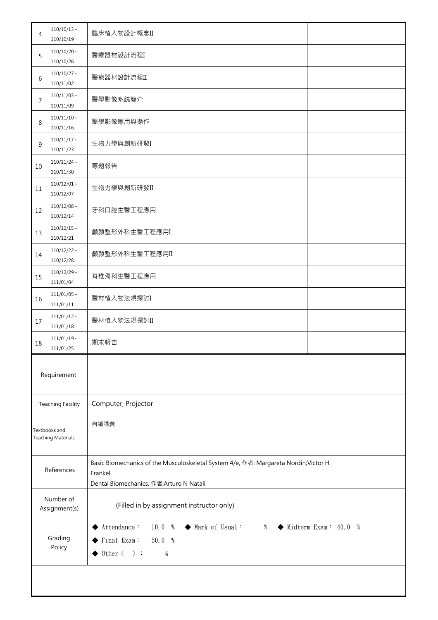| 4                                          | $110/10/13 \sim$<br>110/10/19 | 臨床植入物設計概念II                                                                                                                                                                                                         |  |  |  |
|--------------------------------------------|-------------------------------|---------------------------------------------------------------------------------------------------------------------------------------------------------------------------------------------------------------------|--|--|--|
| 5                                          | $110/10/20$ ~<br>110/10/26    | 醫療器材設計流程I                                                                                                                                                                                                           |  |  |  |
| 6                                          | $110/10/27$ ~<br>110/11/02    | 醫療器材設計流程II                                                                                                                                                                                                          |  |  |  |
| 7                                          | $110/11/03$ ~<br>110/11/09    | 醫學影像系統簡介                                                                                                                                                                                                            |  |  |  |
| 8                                          | $110/11/10 \sim$<br>110/11/16 | 醫學影像應用與操作                                                                                                                                                                                                           |  |  |  |
| 9                                          | $110/11/17$ ~<br>110/11/23    | 生物力學與創新研發I                                                                                                                                                                                                          |  |  |  |
| 10                                         | $110/11/24$ ~<br>110/11/30    | 專題報告                                                                                                                                                                                                                |  |  |  |
| 11                                         | $110/12/01 \sim$<br>110/12/07 | 生物力學與創新研發II                                                                                                                                                                                                         |  |  |  |
| 12                                         | $110/12/08 \sim$<br>110/12/14 | 牙科口腔生醫工程應用                                                                                                                                                                                                          |  |  |  |
| 13                                         | $110/12/15$ ~<br>110/12/21    | 顱顏整形外科生醫工程應用I                                                                                                                                                                                                       |  |  |  |
| 14                                         | $110/12/22$ ~<br>110/12/28    | 顱顏整形外科生醫工程應用II                                                                                                                                                                                                      |  |  |  |
| 15                                         | $110/12/29$ ~<br>111/01/04    | 脊椎骨科生醫工程應用                                                                                                                                                                                                          |  |  |  |
| 16                                         | $111/01/05$ ~<br>111/01/11    | 醫材植入物法規探討I                                                                                                                                                                                                          |  |  |  |
| 17                                         | $111/01/12$ ~<br>111/01/18    | 醫材植入物法規探討II                                                                                                                                                                                                         |  |  |  |
| 18                                         | $111/01/19$ ~<br>111/01/25    | 期末報告                                                                                                                                                                                                                |  |  |  |
|                                            | Requirement                   |                                                                                                                                                                                                                     |  |  |  |
|                                            | <b>Teaching Facility</b>      | Computer, Projector                                                                                                                                                                                                 |  |  |  |
| Textbooks and<br><b>Teaching Materials</b> |                               | 自編講義                                                                                                                                                                                                                |  |  |  |
| References                                 |                               | Basic Biomechanics of the Musculoskeletal System 4/e, 作者: Margareta Nordin; Victor H.<br>Frankel<br>Dental Biomechanics, 作者:Arturo N Natali                                                                         |  |  |  |
| Number of<br>Assignment(s)                 |                               | (Filled in by assignment instructor only)                                                                                                                                                                           |  |  |  |
| Grading<br>Policy                          |                               | $\blacktriangleright$ Attendance :<br>$\blacklozenge$ Midterm Exam: 40.0 %<br>10.0%<br>♦ Mark of Usual:<br>$\%$<br>$\blacktriangleright$ Final Exam:<br>50.0 %<br>$\blacklozenge$ 0ther $\langle \rangle$ :<br>$\%$ |  |  |  |
|                                            |                               |                                                                                                                                                                                                                     |  |  |  |